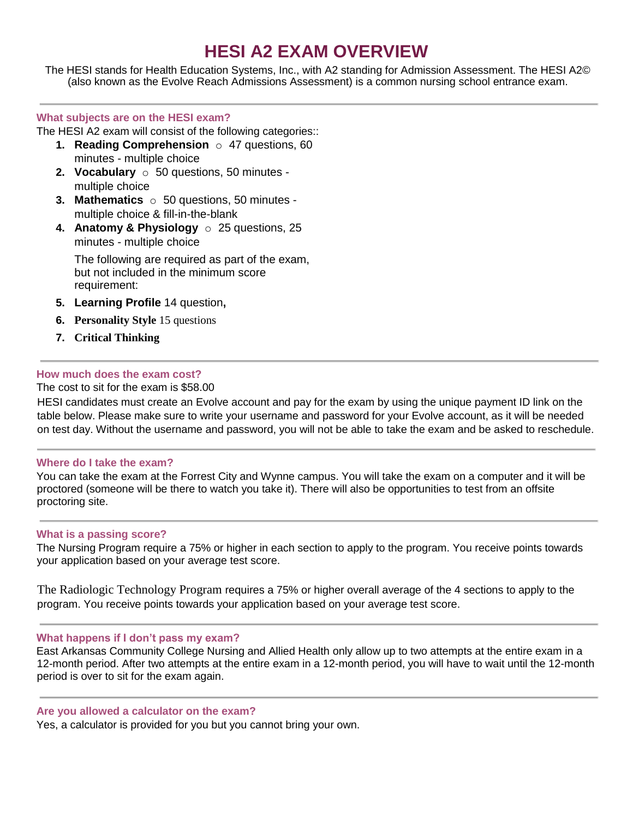## **HESI A2 EXAM OVERVIEW**

The HESI stands for Health Education Systems, Inc., with A2 standing for Admission Assessment. The HESI A2© (also known as the Evolve Reach Admissions Assessment) is a common nursing school entrance exam.

### **What subjects are on the HESI exam?**

The HESI A2 exam will consist of the following categories::

- **1. Reading Comprehension** o 47 questions, 60 minutes - multiple choice
- **2. Vocabulary** o 50 questions, 50 minutes multiple choice
- **3. Mathematics** o 50 questions, 50 minutes multiple choice & fill-in-the-blank
- **4. Anatomy & Physiology** o 25 questions, 25 minutes - multiple choice

The following are required as part of the exam, but not included in the minimum score requirement:

- **5. Learning Profile** 14 question**,**
- **6. Personality Style** 15 questions
- **7. Critical Thinking**

### **How much does the exam cost?**

### The cost to sit for the exam is \$58.00

HESI candidates must create an Evolve account and pay for the exam by using the unique payment ID link on the table below. Please make sure to write your username and password for your Evolve account, as it will be needed on test day. Without the username and password, you will not be able to take the exam and be asked to reschedule.

### **Where do I take the exam?**

You can take the exam at the Forrest City and Wynne campus. You will take the exam on a computer and it will be proctored (someone will be there to watch you take it). There will also be opportunities to test from an offsite proctoring site.

### **What is a passing score?**

The Nursing Program require a 75% or higher in each section to apply to the program. You receive points towards your application based on your average test score.

The Radiologic Technology Program requires a 75% or higher overall average of the 4 sections to apply to the program. You receive points towards your application based on your average test score.

### **What happens if I don't pass my exam?**

East Arkansas Community College Nursing and Allied Health only allow up to two attempts at the entire exam in a 12-month period. After two attempts at the entire exam in a 12-month period, you will have to wait until the 12-month period is over to sit for the exam again.

### **Are you allowed a calculator on the exam?**

Yes, a calculator is provided for you but you cannot bring your own.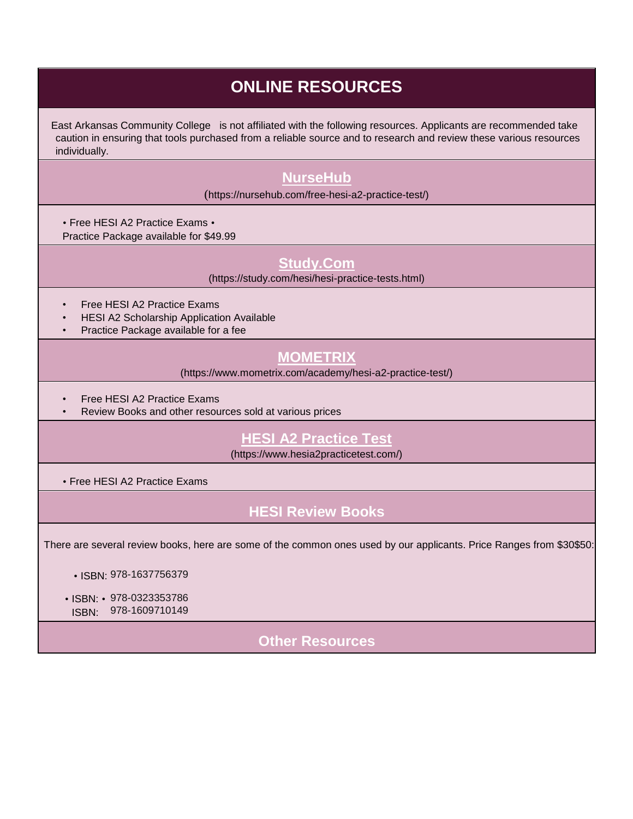## **ONLINE RESOURCES**

East Arkansas Community College is not affiliated with the following resources. Applicants are recommended take caution in ensuring that tools purchased from a reliable source and to research and review these various resources individually.

## **[NurseHub](https://nursehub.com/free-hesi-a2-practice-test/)**

(https://nursehub.com/free-hesi-a2-practice-test/)

• Free HESI A2 Practice Exams •

Practice Package available for \$49.99

### **[Study.Com](https://study.com/hesi/hesi-practice-tests.html)**

(https://study.com/hesi/hesi-practice-tests.html)

- Free HESI A2 Practice Exams
- HESI A2 Scholarship Application Available
- Practice Package available for a fee

## **[MOMETRIX](https://www.mometrix.com/academy/hesi-a2-practice-test/)**

(https://www.mometrix.com/academy/hesi-a2-practice-test/)

- Free HESI A2 Practice Exams
- Review Books and other resources sold at various prices

### **[HESI A2 Practice Test](https://www.hesia2practicetest.com/)**

(https://www.hesia2practicetest.com/)

• Free HESI A2 Practice Exams

## **HESI Review Books**

There are several review books, here are some of the common ones used by our applicants. Price Ranges from \$30\$50:

- ISBN: 978-1637756379
- ISBN: 978-0323353786 ISBN: 978-1609710149

**Other Resources**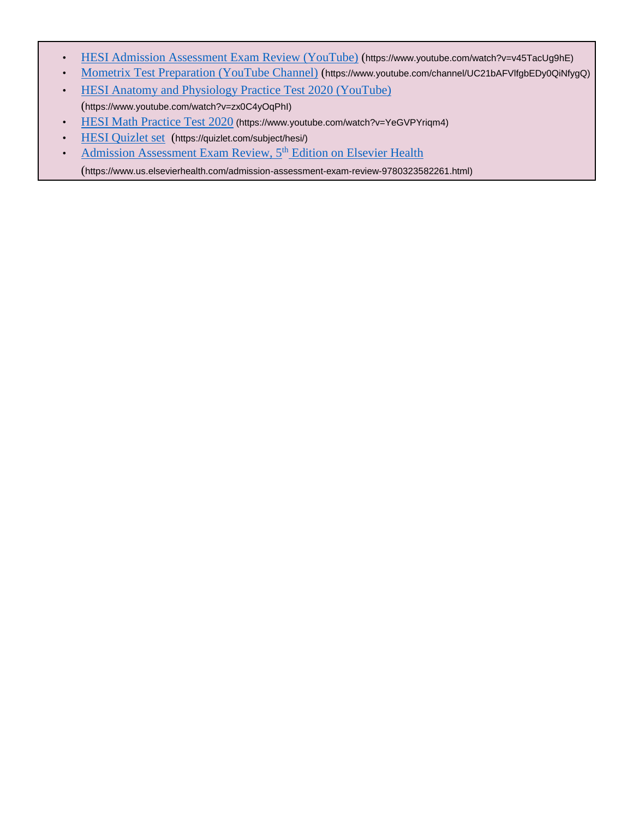- [HESI Admission Assessment Exam Review \(YouTube\)](https://www.youtube.com/watch?v=v45TacUg9hE) [\(](https://www.youtube.com/watch?v=v45TacUg9hE)https://www.youtube.com/watch?v=v45TacUg9hE)
- [Mometrix Test Preparation \(YouTube Channel\)](https://www.youtube.com/channel/UC21bAFVlfgbEDy0QiNf-ygQ) [\(](https://www.youtube.com/channel/UC21bAFVlfgbEDy0QiNf-ygQ)https://www.youtube.com/channel/UC21bAFVlfgbEDy0QiNfygQ)
- [HESI Anatomy and Physiology Practice Test 2020 \(YouTube\)](https://www.youtube.com/watch?v=zx0C4yOqPhI) (https://www.youtube.com/watch?v=zx0C4yOqPhI)
- [HESI Math Practice Test 2020](https://www.youtube.com/watch?v=YeGVPYriqm4) (https://www.youtube.com/watch?v=YeGVPYriqm4)
- [HESI Quizlet set](https://quizlet.com/subject/hesi/) (https://quizlet.com/subject/hesi/)
- [Admission Assessment Exam Review, 5](https://www.us.elsevierhealth.com/admission-assessment-exam-review-9780323582261.html)<sup>[th](https://www.us.elsevierhealth.com/admission-assessment-exam-review-9780323582261.html)</sup> [Edition on Elsevier Health](https://www.us.elsevierhealth.com/admission-assessment-exam-review-9780323582261.html)
	- (https://www.us.elsevierhealth.com/admission-assessment-exam-review-9780323582261.html)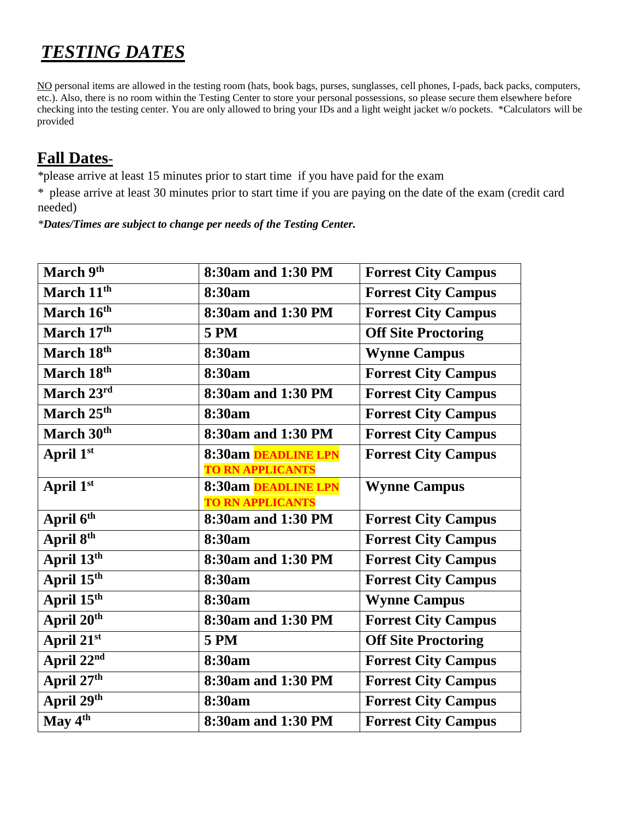# *TESTING DATES*

NO personal items are allowed in the testing room (hats, book bags, purses, sunglasses, cell phones, I-pads, back packs, computers, etc.). Also, there is no room within the Testing Center to store your personal possessions, so please secure them elsewhere before checking into the testing center. You are only allowed to bring your IDs and a light weight jacket w/o pockets. \*Calculators will be provided

## **Fall Dates**-

*\**please arrive at least 15 minutes prior to start time if you have paid for the exam

*\** please arrive at least 30 minutes prior to start time if you are paying on the date of the exam (credit card needed)

*\*Dates/Times are subject to change per needs of the Testing Center.*

| March 9th                         | 8:30am and 1:30 PM                             | <b>Forrest City Campus</b> |
|-----------------------------------|------------------------------------------------|----------------------------|
| March 11 <sup>th</sup>            | 8:30am                                         | <b>Forrest City Campus</b> |
| March 16th                        | 8:30am and 1:30 PM                             | <b>Forrest City Campus</b> |
| March 17th                        | <b>5 PM</b>                                    | <b>Off Site Proctoring</b> |
| March 18th                        | 8:30am                                         | <b>Wynne Campus</b>        |
| March 18th                        | 8:30am                                         | <b>Forrest City Campus</b> |
| March 23rd                        | 8:30am and 1:30 PM                             | <b>Forrest City Campus</b> |
| March 25th                        | 8:30am                                         | <b>Forrest City Campus</b> |
| March 30th                        | 8:30am and 1:30 PM                             | <b>Forrest City Campus</b> |
| April 1st                         | 8:30am DEADLINE LPN                            | <b>Forrest City Campus</b> |
|                                   | <b>TO RN APPLICANTS</b>                        |                            |
| April 1st                         | 8:30am DEADLINE LPN<br><b>TO RN APPLICANTS</b> | <b>Wynne Campus</b>        |
| April 6 <sup>th</sup>             | 8:30am and 1:30 PM                             | <b>Forrest City Campus</b> |
| April 8th                         | 8:30am                                         | <b>Forrest City Campus</b> |
| April 13th                        | 8:30am and 1:30 PM                             | <b>Forrest City Campus</b> |
| April 15th                        | 8:30am                                         | <b>Forrest City Campus</b> |
| April $15^{\overline{\text{th}}}$ | 8:30am                                         | <b>Wynne Campus</b>        |
| April 20th                        | 8:30am and 1:30 PM                             | <b>Forrest City Campus</b> |
| April 21st                        |                                                |                            |
|                                   | <b>5 PM</b>                                    | <b>Off Site Proctoring</b> |
| April 22nd                        | 8:30am                                         | <b>Forrest City Campus</b> |
| April 27th                        | 8:30am and 1:30 PM                             | <b>Forrest City Campus</b> |
| April 29th                        | 8:30am                                         | <b>Forrest City Campus</b> |